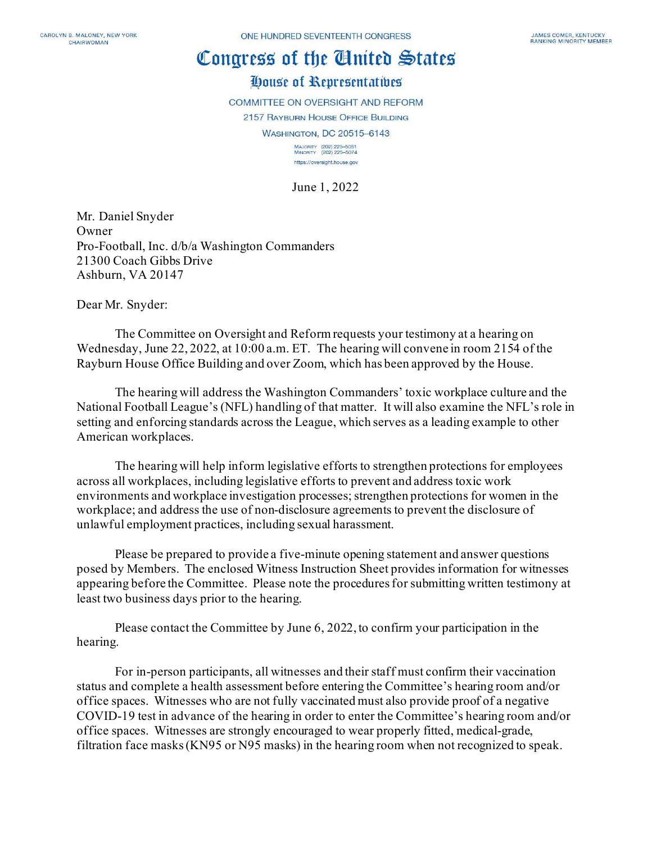## Congress of the Ginited States

## House of Representatives

**COMMITTEE ON OVERSIGHT AND REFORM** 

2157 RAYBURN HOUSE OFFICE BUILDING

**WASHINGTON, DC 20515-6143** 

MAJORITY (202) 225-5051<br>MINORITY (202) 225-5074 https://oversight.house.gov

June 1, 2022

Mr. Daniel Snyder Owner Pro-Football, Inc. d/b/a Washington Commanders 21300 Coach Gibbs Drive Ashburn, VA 20147

Dear Mr. Snyder:

The Committee on Oversight and Reform requests your testimony at a hearing on Wednesday, June 22, 2022, at 10:00 a.m. ET. The hearing will convene in room 2154 of the Rayburn House Office Building and over Zoom, which has been approved by the House.

The hearing will address the Washington Commanders' toxic workplace culture and the National Football League's (NFL) handling of that matter. It will also examine the NFL's role in setting and enforcing standards across the League, which serves as a leading example to other American workplaces.

The hearing will help inform legislative efforts to strengthen protections for employees across all workplaces, including legislative efforts to prevent and address toxic work environments and workplace investigation processes; strengthen protections for women in the workplace; and address the use of non-disclosure agreements to prevent the disclosure of unlawful employment practices, including sexual harassment.

Please be prepared to provide a five-minute opening statement and answer questions posed by Members. The enclosed Witness Instruction Sheet provides information for witnesses appearing before the Committee. Please note the procedures for submitting written testimony at least two business days prior to the hearing.

Please contact the Committee by June 6, 2022, to confirm your participation in the hearing.

For in-person participants, all witnesses and their staff must confirm their vaccination status and complete a health assessment before entering the Committee's hearing room and/or office spaces. Witnesses who are not fully vaccinated must also provide proof of a negative COVID-19 test in advance of the hearing in order to enter the Committee's hearing room and/or office spaces. Witnesses are strongly encouraged to wear properly fitted, medical-grade, filtration face masks (KN95 or N95 masks) in the hearing room when not recognized to speak.